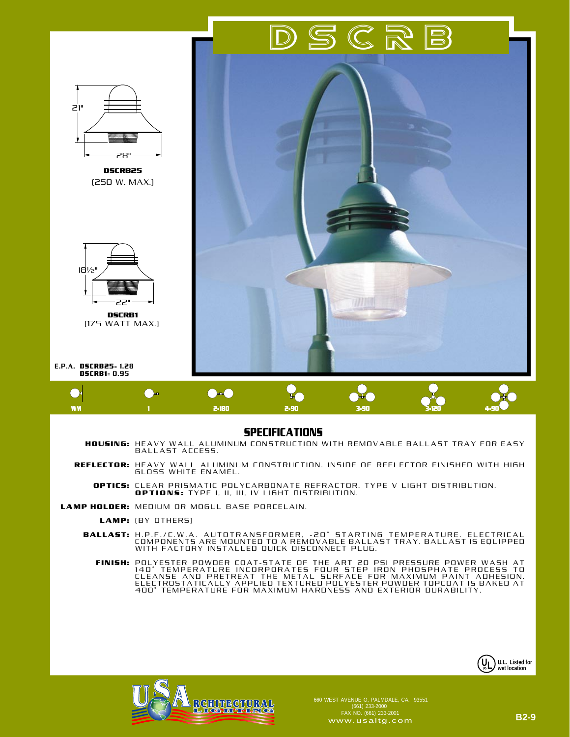

## **SPECIFICATIONS**

- **HOUSING:** HEAVY WALL ALUMINUM CONSTRUCTION WITH REMOVABLE BALLAST TRAY FOR EASY<br>BALLAST ACCESS.
	- **REFLECTOR:** HEAVY WALL ALUMINUM CONSTRUCTION. INSIDE OF REFLECTOR FINISHED WITH HIGH<br>GLOSS WHITE ENAMEL.
		- CLEAR PRISMATIC POLYCARBONATE REFRACTOR, TYPE V LIGHT DISTRIBUTION. **OPTIONS:** TYPE I, II, III, IV LIGHT DISTRIBUTION.  **OPTICS:**
- LAMP HOLDER: MEDIUM OR MOGUL BASE PORCELAIN.
	- (BY OTHERS) **LAMP:**
	- H.P.F./C.W.A. AUTOTRANSFORMER, -20° STARTING TEMPERATURE. ELECTRICAL<br>COMPONENTS ARE MOUNTED TO A REMOVABLE BALLAST TRAY. BALLAST IS EQUIPPED<br>WITH FACTORY INSTALLED QUICK DISCONNECT PLUG. **BALLAST:**
		- POLYESTER POWDER COAT-STATE OF THE ART 20 PSI PRESSURE POWER WASH AT<br>140° TEMPERATURE INCORPORATES FOUR STEP IRON PHOSPHATE PROCESS TO<br>CLEANSE AND PRETREAT THE METAL SURFACE FOR MAXIMUM PAINT ADHESION.<br>ELECTROSTATICALLY AP **FINISH:**